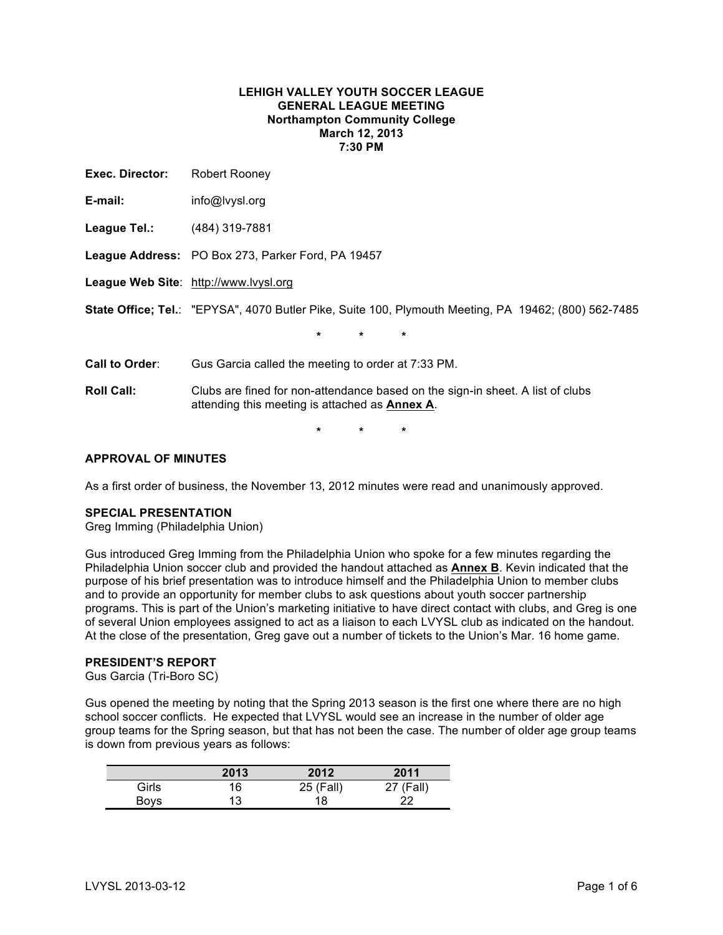## **LEHIGH VALLEY YOUTH SOCCER LEAGUE GENERAL LEAGUE MEETING Northampton Community College March 12, 2013 7:30 PM**

| Exec. Director:   | Robert Rooney                                                                                                                            |
|-------------------|------------------------------------------------------------------------------------------------------------------------------------------|
| E-mail:           | info@lvysl.org                                                                                                                           |
| League Tel.:      | (484) 319-7881                                                                                                                           |
|                   | League Address: PO Box 273, Parker Ford, PA 19457                                                                                        |
|                   | League Web Site: http://www.lvysl.org                                                                                                    |
|                   | State Office; Tel.: "EPYSA", 4070 Butler Pike, Suite 100, Plymouth Meeting, PA 19462; (800) 562-7485                                     |
|                   | $\star$<br>$\star$<br>$\star$                                                                                                            |
| Call to Order:    | Gus Garcia called the meeting to order at 7:33 PM.                                                                                       |
| <b>Roll Call:</b> | Clubs are fined for non-attendance based on the sign-in sheet. A list of clubs<br>attending this meeting is attached as <b>Annex A</b> . |
|                   | $\star$<br>$\star$<br>$\star$                                                                                                            |

## **APPROVAL OF MINUTES**

As a first order of business, the November 13, 2012 minutes were read and unanimously approved.

#### **SPECIAL PRESENTATION**

Greg Imming (Philadelphia Union)

Gus introduced Greg Imming from the Philadelphia Union who spoke for a few minutes regarding the Philadelphia Union soccer club and provided the handout attached as **Annex B**. Kevin indicated that the purpose of his brief presentation was to introduce himself and the Philadelphia Union to member clubs and to provide an opportunity for member clubs to ask questions about youth soccer partnership programs. This is part of the Union's marketing initiative to have direct contact with clubs, and Greg is one of several Union employees assigned to act as a liaison to each LVYSL club as indicated on the handout. At the close of the presentation, Greg gave out a number of tickets to the Union's Mar. 16 home game.

## **PRESIDENT'S REPORT**

Gus Garcia (Tri-Boro SC)

Gus opened the meeting by noting that the Spring 2013 season is the first one where there are no high school soccer conflicts. He expected that LVYSL would see an increase in the number of older age group teams for the Spring season, but that has not been the case. The number of older age group teams is down from previous years as follows:

|       | 2013 | 2012      | 2011      |
|-------|------|-----------|-----------|
| Girls | 16   | 25 (Fall) | 27 (Fall) |
| Bovs  | 13   | 18        | 22        |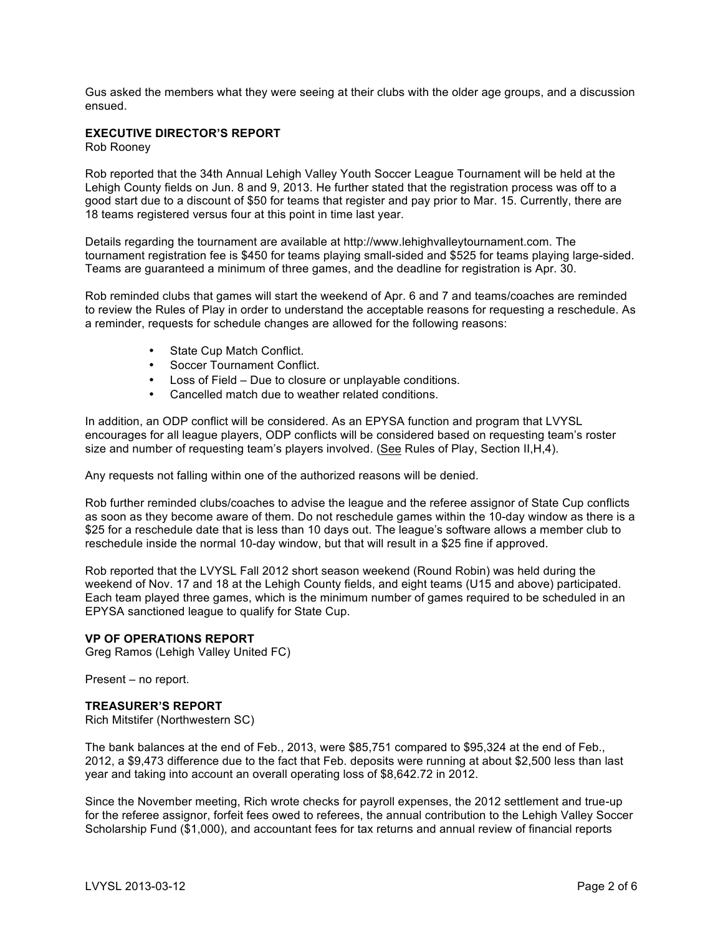Gus asked the members what they were seeing at their clubs with the older age groups, and a discussion ensued.

# **EXECUTIVE DIRECTOR'S REPORT**

Rob Rooney

Rob reported that the 34th Annual Lehigh Valley Youth Soccer League Tournament will be held at the Lehigh County fields on Jun. 8 and 9, 2013. He further stated that the registration process was off to a good start due to a discount of \$50 for teams that register and pay prior to Mar. 15. Currently, there are 18 teams registered versus four at this point in time last year.

Details regarding the tournament are available at http://www.lehighvalleytournament.com. The tournament registration fee is \$450 for teams playing small-sided and \$525 for teams playing large-sided. Teams are guaranteed a minimum of three games, and the deadline for registration is Apr. 30.

Rob reminded clubs that games will start the weekend of Apr. 6 and 7 and teams/coaches are reminded to review the Rules of Play in order to understand the acceptable reasons for requesting a reschedule. As a reminder, requests for schedule changes are allowed for the following reasons:

- State Cup Match Conflict.
- Soccer Tournament Conflict.
- Loss of Field Due to closure or unplayable conditions.
- Cancelled match due to weather related conditions.

In addition, an ODP conflict will be considered. As an EPYSA function and program that LVYSL encourages for all league players, ODP conflicts will be considered based on requesting team's roster size and number of requesting team's players involved. (See Rules of Play, Section II, H, 4).

Any requests not falling within one of the authorized reasons will be denied.

Rob further reminded clubs/coaches to advise the league and the referee assignor of State Cup conflicts as soon as they become aware of them. Do not reschedule games within the 10-day window as there is a \$25 for a reschedule date that is less than 10 days out. The league's software allows a member club to reschedule inside the normal 10-day window, but that will result in a \$25 fine if approved.

Rob reported that the LVYSL Fall 2012 short season weekend (Round Robin) was held during the weekend of Nov. 17 and 18 at the Lehigh County fields, and eight teams (U15 and above) participated. Each team played three games, which is the minimum number of games required to be scheduled in an EPYSA sanctioned league to qualify for State Cup.

#### **VP OF OPERATIONS REPORT**

Greg Ramos (Lehigh Valley United FC)

Present – no report.

#### **TREASURER'S REPORT**

Rich Mitstifer (Northwestern SC)

The bank balances at the end of Feb., 2013, were \$85,751 compared to \$95,324 at the end of Feb., 2012, a \$9,473 difference due to the fact that Feb. deposits were running at about \$2,500 less than last year and taking into account an overall operating loss of \$8,642.72 in 2012.

Since the November meeting, Rich wrote checks for payroll expenses, the 2012 settlement and true-up for the referee assignor, forfeit fees owed to referees, the annual contribution to the Lehigh Valley Soccer Scholarship Fund (\$1,000), and accountant fees for tax returns and annual review of financial reports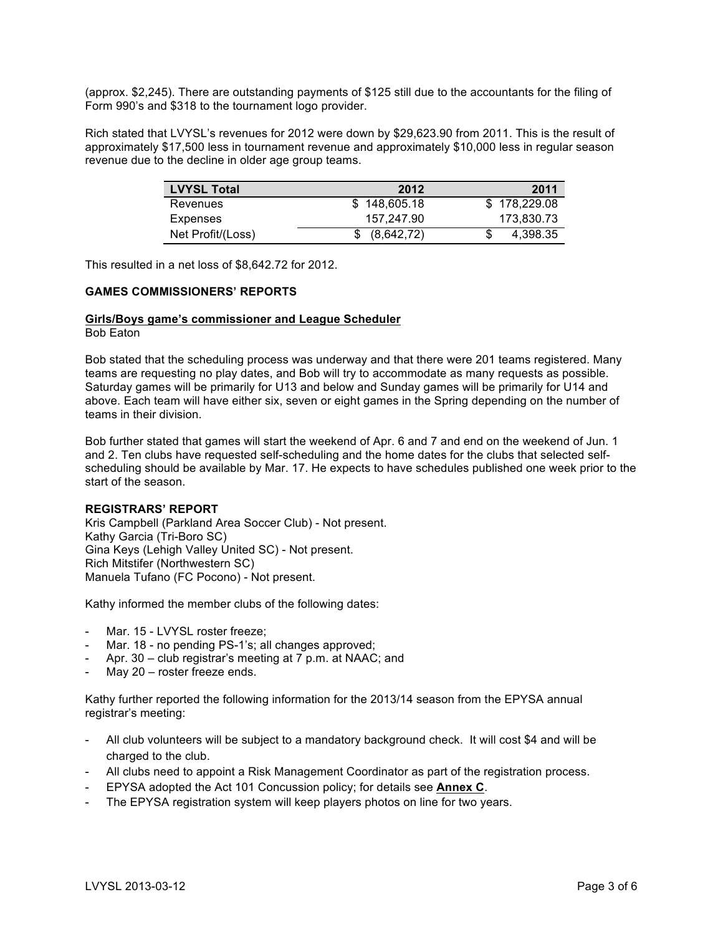(approx. \$2,245). There are outstanding payments of \$125 still due to the accountants for the filing of Form 990's and \$318 to the tournament logo provider.

Rich stated that LVYSL's revenues for 2012 were down by \$29,623.90 from 2011. This is the result of approximately \$17,500 less in tournament revenue and approximately \$10,000 less in regular season revenue due to the decline in older age group teams.

| <b>LVYSL Total</b> | 2012         | 2011         |
|--------------------|--------------|--------------|
| Revenues           | \$148,605.18 | \$178,229,08 |
| Expenses           | 157.247.90   | 173.830.73   |
| Net Profit/(Loss)  | (8,642,72)   | 4.398.35     |

This resulted in a net loss of \$8,642.72 for 2012.

## **GAMES COMMISSIONERS' REPORTS**

### **Girls/Boys game's commissioner and League Scheduler**

Bob Eaton

Bob stated that the scheduling process was underway and that there were 201 teams registered. Many teams are requesting no play dates, and Bob will try to accommodate as many requests as possible. Saturday games will be primarily for U13 and below and Sunday games will be primarily for U14 and above. Each team will have either six, seven or eight games in the Spring depending on the number of teams in their division.

Bob further stated that games will start the weekend of Apr. 6 and 7 and end on the weekend of Jun. 1 and 2. Ten clubs have requested self-scheduling and the home dates for the clubs that selected selfscheduling should be available by Mar. 17. He expects to have schedules published one week prior to the start of the season.

### **REGISTRARS' REPORT**

Kris Campbell (Parkland Area Soccer Club) - Not present. Kathy Garcia (Tri-Boro SC) Gina Keys (Lehigh Valley United SC) - Not present. Rich Mitstifer (Northwestern SC) Manuela Tufano (FC Pocono) - Not present.

Kathy informed the member clubs of the following dates:

- Mar. 15 LVYSL roster freeze;
- Mar. 18 no pending PS-1's; all changes approved;
- Apr. 30 club registrar's meeting at 7 p.m. at NAAC; and
- May 20 roster freeze ends.

Kathy further reported the following information for the 2013/14 season from the EPYSA annual registrar's meeting:

- All club volunteers will be subject to a mandatory background check. It will cost \$4 and will be charged to the club.
- All clubs need to appoint a Risk Management Coordinator as part of the registration process.
- EPYSA adopted the Act 101 Concussion policy; for details see **Annex C**.
- The EPYSA registration system will keep players photos on line for two years.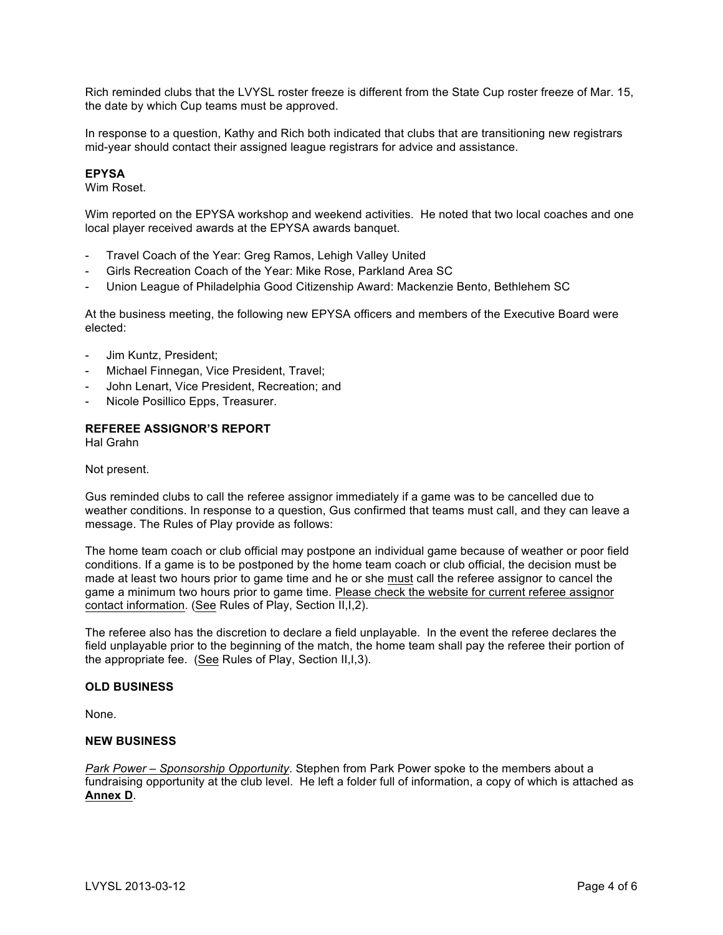Rich reminded clubs that the LVYSL roster freeze is different from the State Cup roster freeze of Mar. 15, the date by which Cup teams must be approved.

In response to a question, Kathy and Rich both indicated that clubs that are transitioning new registrars mid-year should contact their assigned league registrars for advice and assistance.

### **EPYSA**

Wim Roset.

Wim reported on the EPYSA workshop and weekend activities. He noted that two local coaches and one local player received awards at the EPYSA awards banquet.

- Travel Coach of the Year: Greg Ramos, Lehigh Valley United
- Girls Recreation Coach of the Year: Mike Rose, Parkland Area SC
- Union League of Philadelphia Good Citizenship Award: Mackenzie Bento, Bethlehem SC

At the business meeting, the following new EPYSA officers and members of the Executive Board were elected:

- Jim Kuntz, President;
- Michael Finnegan, Vice President, Travel;
- John Lenart, Vice President, Recreation; and
- Nicole Posillico Epps, Treasurer.

## **REFEREE ASSIGNOR'S REPORT**

Hal Grahn

#### Not present.

Gus reminded clubs to call the referee assignor immediately if a game was to be cancelled due to weather conditions. In response to a question, Gus confirmed that teams must call, and they can leave a message. The Rules of Play provide as follows:

The home team coach or club official may postpone an individual game because of weather or poor field conditions. If a game is to be postponed by the home team coach or club official, the decision must be made at least two hours prior to game time and he or she must call the referee assignor to cancel the game a minimum two hours prior to game time. Please check the website for current referee assignor contact information. (See Rules of Play, Section II,I,2).

The referee also has the discretion to declare a field unplayable. In the event the referee declares the field unplayable prior to the beginning of the match, the home team shall pay the referee their portion of the appropriate fee. (See Rules of Play, Section II,I,3).

#### **OLD BUSINESS**

None.

#### **NEW BUSINESS**

*Park Power – Sponsorship Opportunity*. Stephen from Park Power spoke to the members about a fundraising opportunity at the club level. He left a folder full of information, a copy of which is attached as **Annex D**.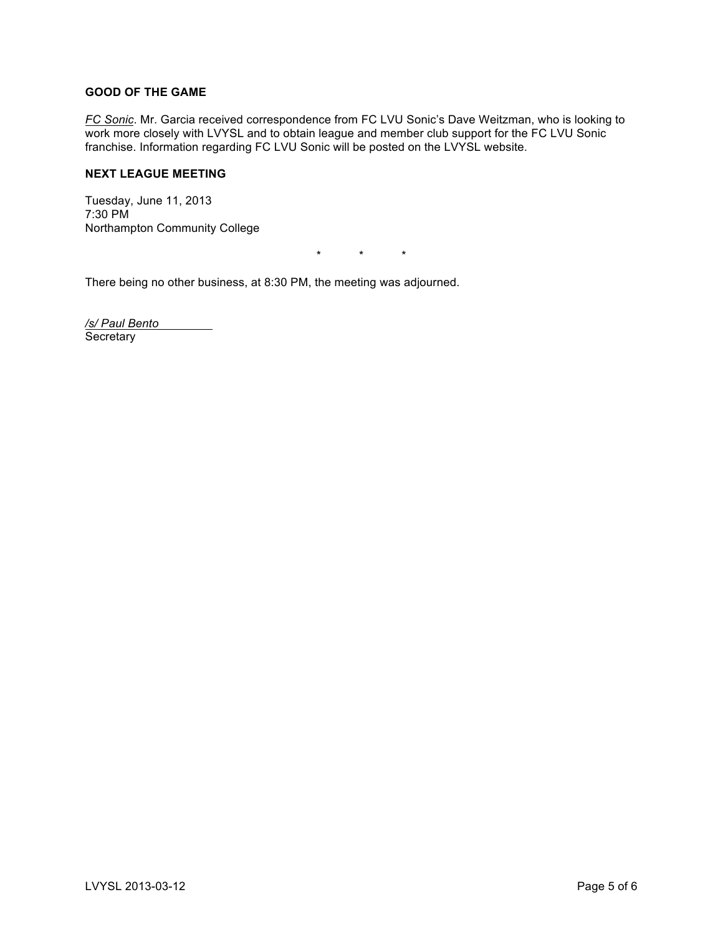## **GOOD OF THE GAME**

*FC Sonic*. Mr. Garcia received correspondence from FC LVU Sonic's Dave Weitzman, who is looking to work more closely with LVYSL and to obtain league and member club support for the FC LVU Sonic franchise. Information regarding FC LVU Sonic will be posted on the LVYSL website.

## **NEXT LEAGUE MEETING**

Tuesday, June 11, 2013 7:30 PM Northampton Community College

\* \* \*

There being no other business, at 8:30 PM, the meeting was adjourned.

*/s/ Paul Bento* **Secretary**